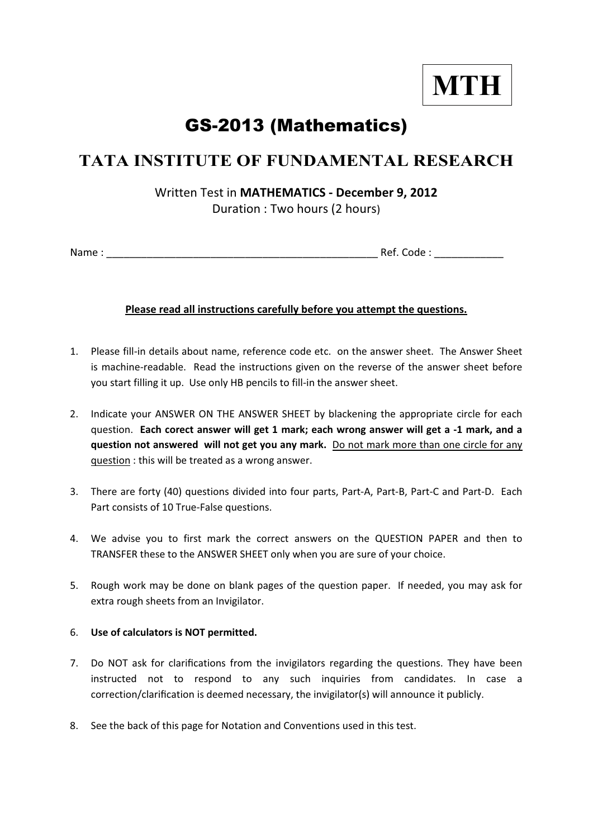**MTH**

# GS-2013 (Mathematics)

# **TATA INSTITUTE OF FUNDAMENTAL RESEARCH**

#### Written Test in **MATHEMATICSͲDecember 9, 2012** Duration : Two hours (2 hours)

Name : \_\_\_\_\_\_\_\_\_\_\_\_\_\_\_\_\_\_\_\_\_\_\_\_\_\_\_\_\_\_\_\_\_\_\_\_\_\_\_\_\_\_\_\_\_\_\_ Ref. Code : \_\_\_\_\_\_\_\_\_\_\_\_

#### **Please read all instructions carefully before you attempt the questions.**

- 1. Please fill-in details about name, reference code etc. on the answer sheet. The Answer Sheet is machine-readable. Read the instructions given on the reverse of the answer sheet before you start filling it up. Use only HB pencils to fill-in the answer sheet.
- 2. Indicate your ANSWER ON THE ANSWER SHEET by blackening the appropriate circle for each question.**Each corect answer will get 1 mark; each wrong answer will get a Ͳ1 mark, and a question not answeredwill not get you any mark.**Do not mark more than one circle for any question : this will be treated as a wrong answer.
- 3. There are forty (40) questions divided into four parts, Part-A, Part-B, Part-C and Part-D. Each Part consists of 10 True-False questions.
- 4. We advise you to first mark the correct answers on the QUESTION PAPER and then to TRANSFER these to the ANSWER SHEET only when you are sure of your choice.
- 5. Rough work may be done on blank pages of the question paper.If needed, you may ask for extra rough sheets from an Invigilator.

#### 6. **Use of calculators is NOT permitted.**

- 7. Do NOT ask for clarifications from the invigilators regarding the questions. They have been instructed not to respond to any such inquiries from candidates. In case a correction/clarification is deemed necessary, the invigilator(s) will announce it publicly.
- 8. See the back of this page for Notation and Conventions used in this test.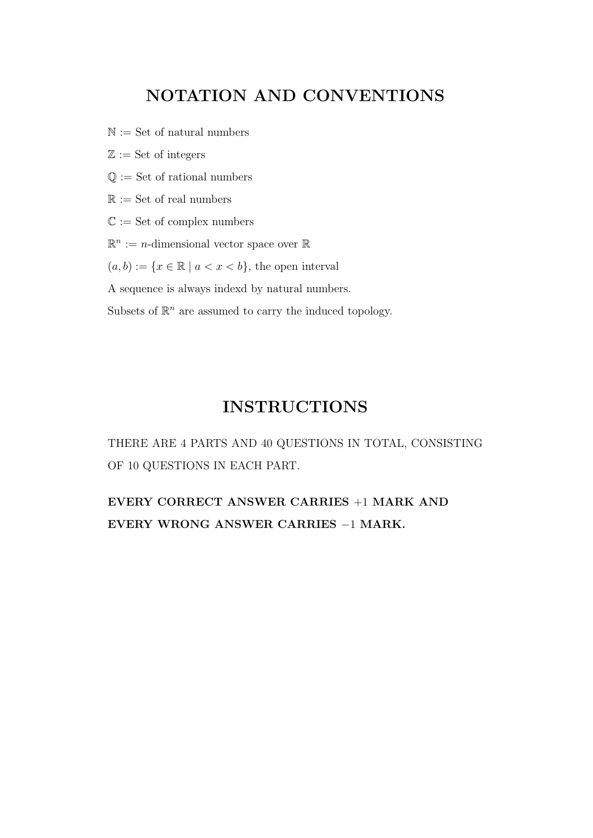## **NOTATION AND CONVENTIONS**

- $N :=$  Set of natural numbers
- $\mathbb{Z} :=$  Set of integers
- $\mathbb{Q} :=$  Set of rational numbers
- $\mathbb{R} :=$  Set of real numbers
- $\mathbb{C} :=$  Set of complex numbers
- $\mathbb{R}^n := n$ -dimensional vector space over  $\mathbb{R}$
- $(a, b) := \{x \in \mathbb{R} \mid a < x < b\}$ , the open interval
- A sequence is always indexd by natural numbers.

Subsets of  $\mathbb{R}^n$  are assumed to carry the induced topology.

### **INSTRUCTIONS**

THERE ARE 4 PARTS AND 40 QUESTIONS IN TOTAL, CONSISTING OF 10 QUESTIONS IN EACH PART.

**EVERY CORRECT ANSWER CARRIES** +1 **MARK AND EVERY WRONG ANSWER CARRIES** −1 **MARK.**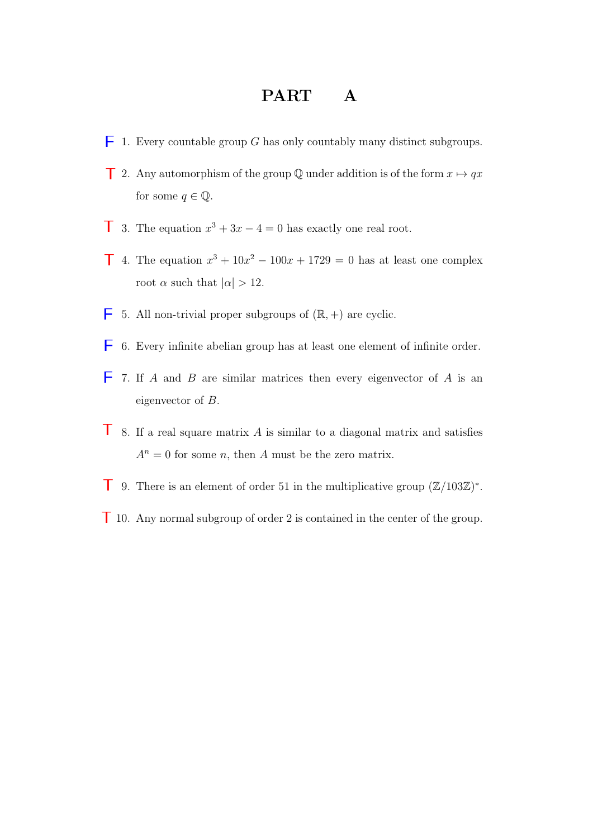### **PART A**

- $\mathbf F$  1. Every countable group  $G$  has only countably many distinct subgroups.
- **T** 2. Any automorphism of the group Q under addition is of the form  $x \mapsto qx$ for some  $q \in \mathbb{Q}$ .
- T 3. The equation  $x^3 + 3x 4 = 0$  has exactly one real root.
- T 4. The equation  $x^3 + 10x^2 100x + 1729 = 0$  has at least one complex root  $\alpha$  such that  $|\alpha| > 12$ .
- $\mathbf{F}$  5. All non-trivial proper subgroups of  $(\mathbb{R}, +)$  are cyclic.
- $\overline{F}$  6. Every infinite abelian group has at least one element of infinite order.
- $\mathbf{F}$  7. If A and B are similar matrices then every eigenvector of A is an eigenvector of B.
- **T** 8. If a real square matrix A is similar to a diagonal matrix and satisfies  $A^n = 0$  for some *n*, then *A* must be the zero matrix.
- T 9. There is an element of order 51 in the multiplicative group  $(\mathbb{Z}/103\mathbb{Z})^*$ .
- 10. Any normal subgroup of order 2 is contained in the center of the group. T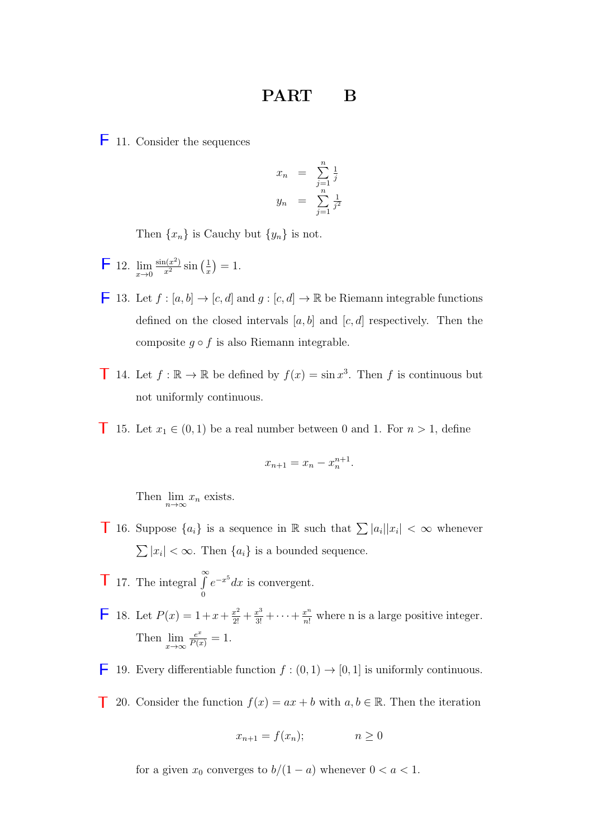#### **PART B**

 $\overline{F}$  11. Consider the sequences

$$
x_n = \sum_{j=1}^n \frac{1}{j}
$$
  

$$
y_n = \sum_{j=1}^n \frac{1}{j^2}
$$

Then  $\{x_n\}$  is Cauchy but  $\{y_n\}$  is not.

- **F** 12.  $\lim_{x \to 0} \frac{\sin(x^2)}{x^2} \sin\left(\frac{1}{x}\right) = 1.$
- **F** 13. Let  $f : [a, b] \to [c, d]$  and  $g : [c, d] \to \mathbb{R}$  be Riemann integrable functions defined on the closed intervals  $[a, b]$  and  $[c, d]$  respectively. Then the composite  $q \circ f$  is also Riemann integrable.
- **T** 14. Let  $f : \mathbb{R} \to \mathbb{R}$  be defined by  $f(x) = \sin x^3$ . Then f is continuous but not uniformly continuous.
- **T** 15. Let  $x_1 \in (0, 1)$  be a real number between 0 and 1. For  $n > 1$ , define

$$
x_{n+1} = x_n - x_n^{n+1}.
$$

Then  $\lim_{n\to\infty}x_n$  exists.

- **T** 16. Suppose  $\{a_i\}$  is a sequence in  $\mathbb R$  such that  $\sum |a_i||x_i| < \infty$  whenever  $\sum |x_i| < \infty$ . Then  $\{a_i\}$  is a bounded sequence.
- 17. The integral  $\int_{0}^{\infty}$  $\boldsymbol{0}$ T 17. The integral  $\int_{0}^{\infty} e^{-x^5} dx$  is convergent.
- **F** 18. Let  $P(x) = 1 + x + \frac{x^2}{2!} + \frac{x^3}{3!} + \cdots + \frac{x^n}{n!}$  where n is a large positive integer. Then  $\lim_{x \to \infty} \frac{e^x}{P(x)} = 1.$
- **F** 19. Every differentiable function  $f : (0,1) \rightarrow [0,1]$  is uniformly continuous.
- 20. Consider the function  $f(x) = ax + b$  with  $a, b \in \mathbb{R}$ . Then the iteration  $\mathbb T$

$$
x_{n+1} = f(x_n); \qquad n \ge 0
$$

for a given  $x_0$  converges to  $b/(1-a)$  whenever  $0 < a < 1$ .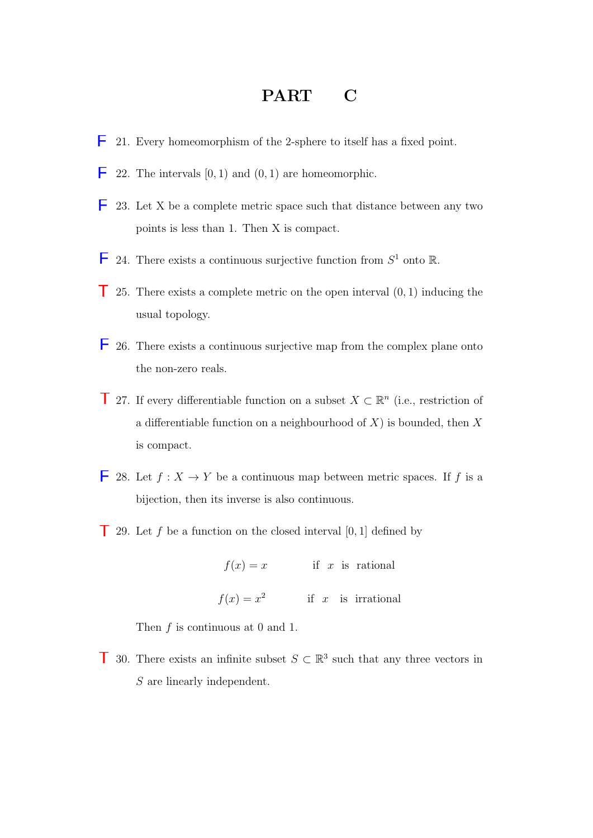### **PART C**

- 21. Every homeomorphism of the 2-sphere to itself has a fixed point. F
- 22. The intervals  $[0, 1)$  and  $(0, 1)$  are homeomorphic.  $_{\rm F}$
- 23. Let X be a complete metric space such that distance between any two points is less than 1. Then X is compact. F
- **F** 24. There exists a continuous surjective function from  $S^1$  onto R.
- **T** 25. There exists a complete metric on the open interval  $(0, 1)$  inducing the usual topology.
- $\overline{F}$  26. There exists a continuous surjective map from the complex plane onto the non-zero reals.
- **T** 27. If every differentiable function on a subset  $X \subset \mathbb{R}^n$  (i.e., restriction of a differentiable function on a neighbourhood of  $X$ ) is bounded, then  $X$ is compact.
- **F** 28. Let *f* : *X* → *Y* be a continuous map between metric spaces. If *f* is a bijection, then its inverse is also continuous.
- **T** 29. Let f be a function on the closed interval  $[0,1]$  defined by

 $f(x) = x$  if x is rational  $f(x) = x^2$  if x is irrational

Then f is continuous at 0 and 1.

T 30. There exists an infinite subset  $S \subset \mathbb{R}^3$  such that any three vectors in S are linearly independent.